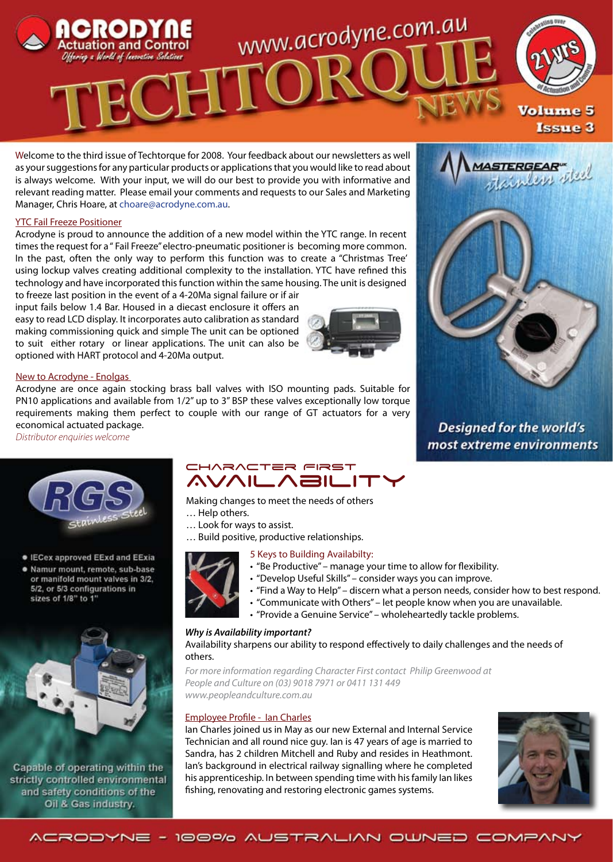

Welcome to the third issue of Techtorque for 2008. Your feedback about our newsletters as well as your suggestions for any particular products or applications that you would like to read about is always welcome. With your input, we will do our best to provide you with informative and relevant reading matter. Please email your comments and requests to our Sales and Marketing Manager, Chris Hoare, at choare@acrodyne.com.au.

### YTC Fail Freeze Positioner

Acrodyne is proud to announce the addition of a new model within the YTC range. In recent times the request for a " Fail Freeze" electro-pneumatic positioner is becoming more common. In the past, often the only way to perform this function was to create a "Christmas Tree' using lockup valves creating additional complexity to the installation. YTC have refined this technology and have incorporated this function within the same housing. The unit is designed

to freeze last position in the event of a 4-20Ma signal failure or if air input fails below 1.4 Bar. Housed in a diecast enclosure it offers an easy to read LCD display. It incorporates auto calibration as standard making commissioning quick and simple The unit can be optioned to suit either rotary or linear applications. The unit can also be optioned with HART protocol and 4-20Ma output.



### New to Acrodyne - Enolgas

Acrodyne are once again stocking brass ball valves with ISO mounting pads. Suitable for PN10 applications and available from 1/2" up to 3" BSP these valves exceptionally low torque requirements making them perfect to couple with our range of GT actuators for a very economical actuated package.

*Distributor enquiries welcome*



• IECex approved EExd and EExia · Namur mount, remote, sub-base or manifold mount valves in 3/2, 5/2, or 5/3 configurations in

sizes of 1/8" to 1"



Capable of operating within the strictly controlled environmental and safety conditions of the Oil & Gas industry.

### CHARACTER FIRST **AVAILABILIT**

- Making changes to meet the needs of others
- … Help others.
- … Look for ways to assist.

… Build positive, productive relationships.

- 5 Keys to Building Availabilty:
- "Be Productive" manage your time to allow for flexibility.
- "Develop Useful Skills" consider ways you can improve.
- "Find a Way to Help" discern what a person needs, consider how to best respond.
- "Communicate with Others" let people know when you are unavailable.
- "Provide a Genuine Service" wholeheartedly tackle problems.

### *Why is Availability important?*

Availability sharpens our ability to respond effectively to daily challenges and the needs of others.

*For more information regarding Character First contact Philip Greenwood at People and Culture on (03) 9018 7971 or 0411 131 449 www.peopleandculture.com.au*

### Employee Profile - Ian Charles

Ian Charles joined us in May as our new External and Internal Service Technician and all round nice guy. Ian is 47 years of age is married to Sandra, has 2 children Mitchell and Ruby and resides in Heathmont. Ian's background in electrical railway signalling where he completed his apprenticeship. In between spending time with his family Ian likes fishing, renovating and restoring electronic games systems.